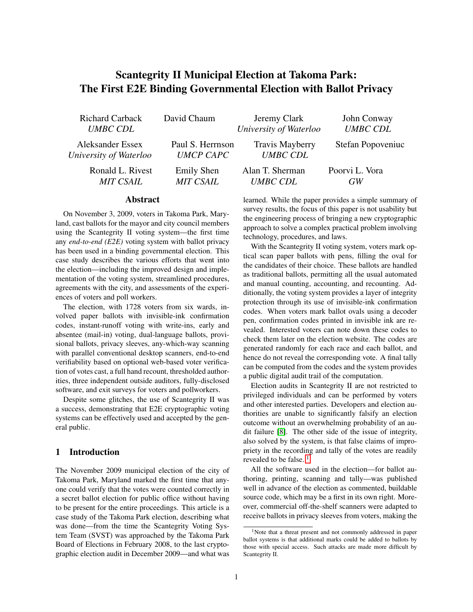# Scantegrity II Municipal Election at Takoma Park: The First E2E Binding Governmental Election with Ballot Privacy

Richard Carback *UMBC CDL* David Chaum Jeremy Clark *University of Waterloo* John Conway *UMBC CDL* Aleksander Essex *University of Waterloo* Paul S. Herrnson *UMCP CAPC* Travis Mayberry *UMBC CDL* Stefan Popoveniuc Ronald L. Rivest *MIT CSAIL* Emily Shen *MIT CSAIL* Alan T. Sherman *UMBC CDL* Poorvi L. Vora *GW*

### Abstract

On November 3, 2009, voters in Takoma Park, Maryland, cast ballots for the mayor and city council members using the Scantegrity II voting system—the first time any *end-to-end (E2E)* voting system with ballot privacy has been used in a binding governmental election. This case study describes the various efforts that went into the election—including the improved design and implementation of the voting system, streamlined procedures, agreements with the city, and assessments of the experiences of voters and poll workers.

The election, with 1728 voters from six wards, involved paper ballots with invisible-ink confirmation codes, instant-runoff voting with write-ins, early and absentee (mail-in) voting, dual-language ballots, provisional ballots, privacy sleeves, any-which-way scanning with parallel conventional desktop scanners, end-to-end verifiability based on optional web-based voter verification of votes cast, a full hand recount, thresholded authorities, three independent outside auditors, fully-disclosed software, and exit surveys for voters and pollworkers.

Despite some glitches, the use of Scantegrity II was a success, demonstrating that E2E cryptographic voting systems can be effectively used and accepted by the general public.

### 1 Introduction

The November 2009 municipal election of the city of Takoma Park, Maryland marked the first time that anyone could verify that the votes were counted correctly in a secret ballot election for public office without having to be present for the entire proceedings. This article is a case study of the Takoma Park election, describing what was done—from the time the Scantegrity Voting System Team (SVST) was approached by the Takoma Park Board of Elections in February 2008, to the last cryptographic election audit in December 2009—and what was learned. While the paper provides a simple summary of survey results, the focus of this paper is not usability but the engineering process of bringing a new cryptographic approach to solve a complex practical problem involving technology, procedures, and laws.

With the Scantegrity II voting system, voters mark optical scan paper ballots with pens, filling the oval for the candidates of their choice. These ballots are handled as traditional ballots, permitting all the usual automated and manual counting, accounting, and recounting. Additionally, the voting system provides a layer of integrity protection through its use of invisible-ink confirmation codes. When voters mark ballot ovals using a decoder pen, confirmation codes printed in invisible ink are revealed. Interested voters can note down these codes to check them later on the election website. The codes are generated randomly for each race and each ballot, and hence do not reveal the corresponding vote. A final tally can be computed from the codes and the system provides a public digital audit trail of the computation.

Election audits in Scantegrity II are not restricted to privileged individuals and can be performed by voters and other interested parties. Developers and election authorities are unable to significantly falsify an election outcome without an overwhelming probability of an audit failure [\[8\]](#page-15-0). The other side of the issue of integrity, also solved by the system, is that false claims of impropriety in the recording and tally of the votes are readily revealed to be false.<sup>[1](#page-0-0)</sup>

All the software used in the election—for ballot authoring, printing, scanning and tally—was published well in advance of the election as commented, buildable source code, which may be a first in its own right. Moreover, commercial off-the-shelf scanners were adapted to receive ballots in privacy sleeves from voters, making the

<span id="page-0-0"></span><sup>1</sup>Note that a threat present and not commonly addressed in paper ballot systems is that additional marks could be added to ballots by those with special access. Such attacks are made more difficult by Scantegrity II.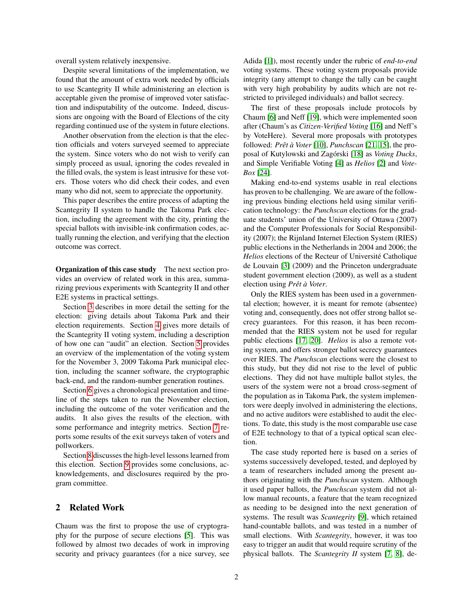overall system relatively inexpensive.

Despite several limitations of the implementation, we found that the amount of extra work needed by officials to use Scantegrity II while administering an election is acceptable given the promise of improved voter satisfaction and indisputability of the outcome. Indeed, discussions are ongoing with the Board of Elections of the city regarding continued use of the system in future elections.

Another observation from the election is that the election officials and voters surveyed seemed to appreciate the system. Since voters who do not wish to verify can simply proceed as usual, ignoring the codes revealed in the filled ovals, the system is least intrusive for these voters. Those voters who did check their codes, and even many who did not, seem to appreciate the opportunity.

This paper describes the entire process of adapting the Scantegrity II system to handle the Takoma Park election, including the agreement with the city, printing the special ballots with invisible-ink confirmation codes, actually running the election, and verifying that the election outcome was correct.

Organization of this case study The next section provides an overview of related work in this area, summarizing previous experiments with Scantegrity II and other E2E systems in practical settings.

Section [3](#page-2-0) describes in more detail the setting for the election: giving details about Takoma Park and their election requirements. Section [4](#page-3-0) gives more details of the Scantegrity II voting system, including a description of how one can "audit" an election. Section [5](#page-4-0) provides an overview of the implementation of the voting system for the November 3, 2009 Takoma Park municipal election, including the scanner software, the cryptographic back-end, and the random-number generation routines.

Section [6](#page-7-0) gives a chronological presentation and timeline of the steps taken to run the November election, including the outcome of the voter verification and the audits. It also gives the results of the election, with some performance and integrity metrics. Section [7](#page-11-0) reports some results of the exit surveys taken of voters and pollworkers.

Section [8](#page-13-0) discusses the high-level lessons learned from this election. Section [9](#page-14-0) provides some conclusions, acknowledgements, and disclosures required by the program committee.

### <span id="page-1-0"></span>2 Related Work

Chaum was the first to propose the use of cryptography for the purpose of secure elections [\[5\]](#page-15-1). This was followed by almost two decades of work in improving security and privacy guarantees (for a nice survey, see Adida [\[1\]](#page-15-2)), most recently under the rubric of *end-to-end* voting systems. These voting system proposals provide integrity (any attempt to change the tally can be caught with very high probability by audits which are not restricted to privileged individuals) and ballot secrecy.

The first of these proposals include protocols by Chaum [\[6\]](#page-15-3) and Neff [\[19\]](#page-15-4), which were implemented soon after (Chaum's as *Citizen-Verified Voting* [\[16\]](#page-15-5) and Neff's by VoteHere). Several more proposals with prototypes followed: *Pretˆ a Voter `* [\[10\]](#page-15-6), *Punchscan* [\[21,](#page-15-7) [15\]](#page-15-8), the pro-posal of Kutylowski and Zagórski [\[18\]](#page-15-9) as *Voting Ducks*, and Simple Verifiable Voting [\[4\]](#page-15-10) as *Helios* [\[2\]](#page-15-11) and *Vote-Box* [\[24\]](#page-15-12).

Making end-to-end systems usable in real elections has proven to be challenging. We are aware of the following previous binding elections held using similar verification technology: the *Punchscan* elections for the graduate students' union of the University of Ottawa (2007) and the Computer Professionals for Social Responsibility (2007); the Rijnland Internet Election System (RIES) public elections in the Netherlands in 2004 and 2006; the *Helios* elections of the Recteur of Université Catholique de Louvain [\[3\]](#page-15-13) (2009) and the Princeton undergraduate student government election (2009), as well as a student election using *Pretˆ a Voter `* .

Only the RIES system has been used in a governmental election; however, it is meant for remote (absentee) voting and, consequently, does not offer strong ballot secrecy guarantees. For this reason, it has been recommended that the RIES system not be used for regular public elections [\[17,](#page-15-14) [20\]](#page-15-15). *Helios* is also a remote voting system, and offers stronger ballot secrecy guarantees over RIES. The *Punchscan* elections were the closest to this study, but they did not rise to the level of public elections. They did not have multiple ballot styles, the users of the system were not a broad cross-segment of the population as in Takoma Park, the system implementors were deeply involved in administering the elections, and no active auditors were established to audit the elections. To date, this study is the most comparable use case of E2E technology to that of a typical optical scan election.

The case study reported here is based on a series of systems successively developed, tested, and deployed by a team of researchers included among the present authors originating with the *Punchscan* system. Although it used paper ballots, the *Punchscan* system did not allow manual recounts, a feature that the team recognized as needing to be designed into the next generation of systems. The result was *Scantegrity* [\[9\]](#page-15-16), which retained hand-countable ballots, and was tested in a number of small elections. With *Scantegrity*, however, it was too easy to trigger an audit that would require scrutiny of the physical ballots. The *Scantegrity II* system [\[7,](#page-15-17) [8\]](#page-15-0), de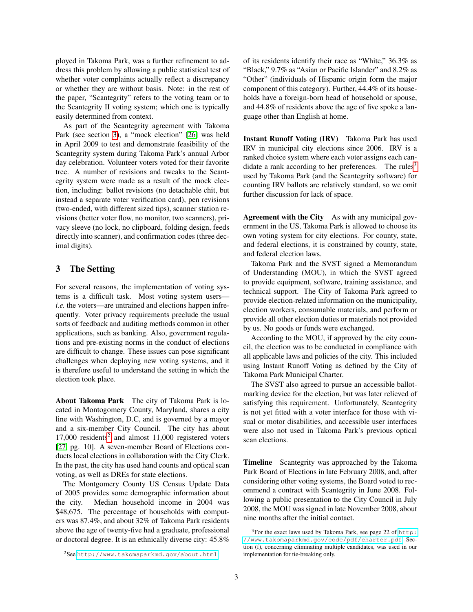ployed in Takoma Park, was a further refinement to address this problem by allowing a public statistical test of whether voter complaints actually reflect a discrepancy or whether they are without basis. Note: in the rest of the paper, "Scantegrity" refers to the voting team or to the Scantegrity II voting system; which one is typically easily determined from context.

As part of the Scantegrity agreement with Takoma Park (see section [3\)](#page-2-0), a "mock election" [\[26\]](#page-15-18) was held in April 2009 to test and demonstrate feasibility of the Scantegrity system during Takoma Park's annual Arbor day celebration. Volunteer voters voted for their favorite tree. A number of revisions and tweaks to the Scantegrity system were made as a result of the mock election, including: ballot revisions (no detachable chit, but instead a separate voter verification card), pen revisions (two-ended, with different sized tips), scanner station revisions (better voter flow, no monitor, two scanners), privacy sleeve (no lock, no clipboard, folding design, feeds directly into scanner), and confirmation codes (three decimal digits).

### <span id="page-2-0"></span>3 The Setting

For several reasons, the implementation of voting systems is a difficult task. Most voting system users *i.e.* the voters—are untrained and elections happen infrequently. Voter privacy requirements preclude the usual sorts of feedback and auditing methods common in other applications, such as banking. Also, government regulations and pre-existing norms in the conduct of elections are difficult to change. These issues can pose significant challenges when deploying new voting systems, and it is therefore useful to understand the setting in which the election took place.

About Takoma Park The city of Takoma Park is located in Montogomery County, Maryland, shares a city line with Washington, D.C, and is governed by a mayor and a six-member City Council. The city has about  $17,000$  residents<sup>[2](#page-2-1)</sup> and almost  $11,000$  registered voters [\[27,](#page-15-19) pg. 10]. A seven-member Board of Elections conducts local elections in collaboration with the City Clerk. In the past, the city has used hand counts and optical scan voting, as well as DREs for state elections.

The Montgomery County US Census Update Data of 2005 provides some demographic information about the city. Median household income in 2004 was \$48,675. The percentage of households with computers was 87.4%, and about 32% of Takoma Park residents above the age of twenty-five had a graduate, professional or doctoral degree. It is an ethnically diverse city: 45.8% of its residents identify their race as "White," 36.3% as "Black," 9.7% as "Asian or Pacific Islander" and 8.2% as "Other" (individuals of Hispanic origin form the major component of this category). Further, 44.4% of its households have a foreign-born head of household or spouse, and 44.8% of residents above the age of five spoke a language other than English at home.

Instant Runoff Voting (IRV) Takoma Park has used IRV in municipal city elections since 2006. IRV is a ranked choice system where each voter assigns each can-didate a rank according to her preferences. The rules<sup>[3](#page-2-2)</sup> used by Takoma Park (and the Scantegrity software) for counting IRV ballots are relatively standard, so we omit further discussion for lack of space.

Agreement with the City As with any municipal government in the US, Takoma Park is allowed to choose its own voting system for city elections. For county, state, and federal elections, it is constrained by county, state, and federal election laws.

Takoma Park and the SVST signed a Memorandum of Understanding (MOU), in which the SVST agreed to provide equipment, software, training assistance, and technical support. The City of Takoma Park agreed to provide election-related information on the municipality, election workers, consumable materials, and perform or provide all other election duties or materials not provided by us. No goods or funds were exchanged.

According to the MOU, if approved by the city council, the election was to be conducted in compliance with all applicable laws and policies of the city. This included using Instant Runoff Voting as defined by the City of Takoma Park Municipal Charter.

The SVST also agreed to pursue an accessible ballotmarking device for the election, but was later relieved of satisfying this requirement. Unfortunately, Scantegrity is not yet fitted with a voter interface for those with visual or motor disabilities, and accessible user interfaces were also not used in Takoma Park's previous optical scan elections.

Timeline Scantegrity was approached by the Takoma Park Board of Elections in late February 2008, and, after considering other voting systems, the Board voted to recommend a contract with Scantegrity in June 2008. Following a public presentation to the City Council in July 2008, the MOU was signed in late November 2008, about nine months after the initial contact.

<span id="page-2-1"></span><sup>2</sup>See <http://www.takomaparkmd.gov/about.html>.

<span id="page-2-2"></span><sup>&</sup>lt;sup>3</sup>For the exact laws used by Takoma Park, see page 22 of [http:](http://www.takomaparkmd.gov/code/pdf/charter.pdf) [//www.takomaparkmd.gov/code/pdf/charter.pdf](http://www.takomaparkmd.gov/code/pdf/charter.pdf). Section (f), concerning eliminating multiple candidates, was used in our implementation for tie-breaking only.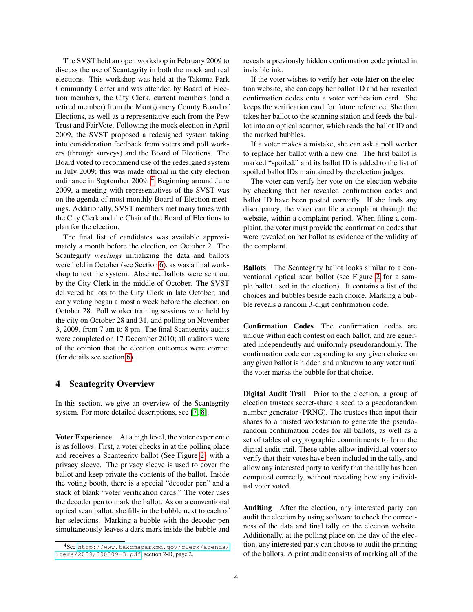The SVST held an open workshop in February 2009 to discuss the use of Scantegrity in both the mock and real elections. This workshop was held at the Takoma Park Community Center and was attended by Board of Election members, the City Clerk, current members (and a retired member) from the Montgomery County Board of Elections, as well as a representative each from the Pew Trust and FairVote. Following the mock election in April 2009, the SVST proposed a redesigned system taking into consideration feedback from voters and poll workers (through surveys) and the Board of Elections. The Board voted to recommend use of the redesigned system in July 2009; this was made official in the city election ordinance in September 2009. [4](#page-3-1) Beginning around June 2009, a meeting with representatives of the SVST was on the agenda of most monthly Board of Election meetings. Additionally, SVST members met many times with the City Clerk and the Chair of the Board of Elections to plan for the election.

The final list of candidates was available approximately a month before the election, on October 2. The Scantegrity *meetings* initializing the data and ballots were held in October (see Section [6\)](#page-7-0), as was a final workshop to test the system. Absentee ballots were sent out by the City Clerk in the middle of October. The SVST delivered ballots to the City Clerk in late October, and early voting began almost a week before the election, on October 28. Poll worker training sessions were held by the city on October 28 and 31, and polling on November 3, 2009, from 7 am to 8 pm. The final Scantegrity audits were completed on 17 December 2010; all auditors were of the opinion that the election outcomes were correct (for details see section [6\)](#page-7-0).

### <span id="page-3-0"></span>4 Scantegrity Overview

In this section, we give an overview of the Scantegrity system. For more detailed descriptions, see [\[7,](#page-15-17) [8\]](#page-15-0).

Voter Experience At a high level, the voter experience is as follows. First, a voter checks in at the polling place and receives a Scantegrity ballot (See Figure [2\)](#page-8-0) with a privacy sleeve. The privacy sleeve is used to cover the ballot and keep private the contents of the ballot. Inside the voting booth, there is a special "decoder pen" and a stack of blank "voter verification cards." The voter uses the decoder pen to mark the ballot. As on a conventional optical scan ballot, she fills in the bubble next to each of her selections. Marking a bubble with the decoder pen simultaneously leaves a dark mark inside the bubble and reveals a previously hidden confirmation code printed in invisible ink.

If the voter wishes to verify her vote later on the election website, she can copy her ballot ID and her revealed confirmation codes onto a voter verification card. She keeps the verification card for future reference. She then takes her ballot to the scanning station and feeds the ballot into an optical scanner, which reads the ballot ID and the marked bubbles.

If a voter makes a mistake, she can ask a poll worker to replace her ballot with a new one. The first ballot is marked "spoiled," and its ballot ID is added to the list of spoiled ballot IDs maintained by the election judges.

The voter can verify her vote on the election website by checking that her revealed confirmation codes and ballot ID have been posted correctly. If she finds any discrepancy, the voter can file a complaint through the website, within a complaint period. When filing a complaint, the voter must provide the confirmation codes that were revealed on her ballot as evidence of the validity of the complaint.

Ballots The Scantegrity ballot looks similar to a conventional optical scan ballot (see Figure [2](#page-8-0) for a sample ballot used in the election). It contains a list of the choices and bubbles beside each choice. Marking a bubble reveals a random 3-digit confirmation code.

Confirmation Codes The confirmation codes are unique within each contest on each ballot, and are generated independently and uniformly pseudorandomly. The confirmation code corresponding to any given choice on any given ballot is hidden and unknown to any voter until the voter marks the bubble for that choice.

Digital Audit Trail Prior to the election, a group of election trustees secret-share a seed to a pseudorandom number generator (PRNG). The trustees then input their shares to a trusted workstation to generate the pseudorandom confirmation codes for all ballots, as well as a set of tables of cryptographic commitments to form the digital audit trail. These tables allow individual voters to verify that their votes have been included in the tally, and allow any interested party to verify that the tally has been computed correctly, without revealing how any individual voter voted.

Auditing After the election, any interested party can audit the election by using software to check the correctness of the data and final tally on the election website. Additionally, at the polling place on the day of the election, any interested party can choose to audit the printing of the ballots. A print audit consists of marking all of the

<span id="page-3-1"></span><sup>4</sup>See [http://www.takomaparkmd.gov/clerk/agenda/](http://www.takomaparkmd.gov/clerk/agenda/items/2009/090809-3.pdf) [items/2009/090809-3.pdf](http://www.takomaparkmd.gov/clerk/agenda/items/2009/090809-3.pdf), section 2-D, page 2.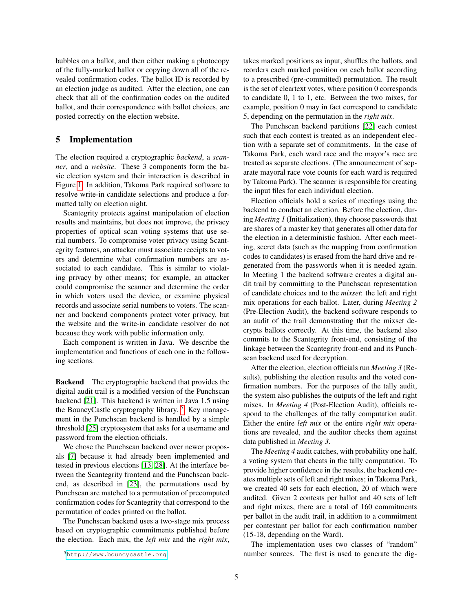bubbles on a ballot, and then either making a photocopy of the fully-marked ballot or copying down all of the revealed confirmation codes. The ballot ID is recorded by an election judge as audited. After the election, one can check that all of the confirmation codes on the audited ballot, and their correspondence with ballot choices, are posted correctly on the election website.

### <span id="page-4-0"></span>5 Implementation

The election required a cryptographic *backend*, a *scanner*, and a *website*. These 3 components form the basic election system and their interaction is described in Figure [1.](#page-5-0) In addition, Takoma Park required software to resolve write-in candidate selections and produce a formatted tally on election night.

Scantegrity protects against manipulation of election results and maintains, but does not improve, the privacy properties of optical scan voting systems that use serial numbers. To compromise voter privacy using Scantegrity features, an attacker must associate receipts to voters and determine what confirmation numbers are associated to each candidate. This is similar to violating privacy by other means; for example, an attacker could compromise the scanner and determine the order in which voters used the device, or examine physical records and associate serial numbers to voters. The scanner and backend components protect voter privacy, but the website and the write-in candidate resolver do not because they work with public information only.

Each component is written in Java. We describe the implementation and functions of each one in the following sections.

Backend The cryptographic backend that provides the digital audit trail is a modified version of the Punchscan backend [\[21\]](#page-15-7). This backend is written in Java 1.5 using the BouncyCastle cryptography library.  $5\,$  $5\,$  Key management in the Punchscan backend is handled by a simple threshold [\[25\]](#page-15-20) cryptosystem that asks for a username and password from the election officials.

We chose the Punchscan backend over newer proposals [\[7\]](#page-15-17) because it had already been implemented and tested in previous elections [\[13,](#page-15-21) [28\]](#page-15-22). At the interface between the Scantegrity frontend and the Punchscan backend, as described in [\[23\]](#page-15-23), the permutations used by Punchscan are matched to a permutation of precomputed confirmation codes for Scantegrity that correspond to the permutation of codes printed on the ballot.

The Punchscan backend uses a two-stage mix process based on cryptographic commitments published before the election. Each mix, the *left mix* and the *right mix*, takes marked positions as input, shuffles the ballots, and reorders each marked position on each ballot according to a prescribed (pre-committed) permutation. The result is the set of cleartext votes, where position 0 corresponds to candidate 0, 1 to 1, etc. Between the two mixes, for example, position 0 may in fact correspond to candidate 5, depending on the permutation in the *right mix*.

The Punchscan backend partitions [\[22\]](#page-15-24) each contest such that each contest is treated as an independent election with a separate set of commitments. In the case of Takoma Park, each ward race and the mayor's race are treated as separate elections. (The announcement of separate mayoral race vote counts for each ward is required by Takoma Park). The scanner is responsible for creating the input files for each individual election.

Election officials hold a series of meetings using the backend to conduct an election. Before the election, during *Meeting 1* (Initialization), they choose passwords that are shares of a master key that generates all other data for the election in a deterministic fashion. After each meeting, secret data (such as the mapping from confirmation codes to candidates) is erased from the hard drive and regenerated from the passwords when it is needed again. In Meeting 1 the backend software creates a digital audit trail by committing to the Punchscan representation of candidate choices and to the *mixset*: the left and right mix operations for each ballot. Later, during *Meeting 2* (Pre-Election Audit), the backend software responds to an audit of the trail demonstrating that the mixset decrypts ballots correctly. At this time, the backend also commits to the Scantegrity front-end, consisting of the linkage between the Scantegrity front-end and its Punchscan backend used for decryption.

After the election, election officials run *Meeting 3* (Results), publishing the election results and the voted confirmation numbers. For the purposes of the tally audit, the system also publishes the outputs of the left and right mixes. In *Meeting 4* (Post-Election Audit), officials respond to the challenges of the tally computation audit. Either the entire *left mix* or the entire *right mix* operations are revealed, and the auditor checks them against data published in *Meeting 3*.

The *Meeting 4* audit catches, with probability one half, a voting system that cheats in the tally computation. To provide higher confidence in the results, the backend creates multiple sets of left and right mixes; in Takoma Park, we created 40 sets for each election, 20 of which were audited. Given 2 contests per ballot and 40 sets of left and right mixes, there are a total of 160 commitments per ballot in the audit trail, in addition to a commitment per contestant per ballot for each confirmation number (15-18, depending on the Ward).

The implementation uses two classes of "random" number sources. The first is used to generate the dig-

<span id="page-4-1"></span><sup>5</sup><http://www.bouncycastle.org>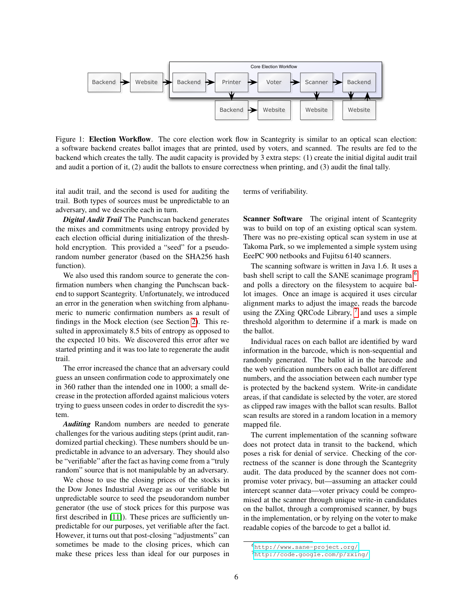

<span id="page-5-0"></span>Figure 1: Election Workflow. The core election work flow in Scantegrity is similar to an optical scan election: a software backend creates ballot images that are printed, used by voters, and scanned. The results are fed to the backend which creates the tally. The audit capacity is provided by 3 extra steps: (1) create the initial digital audit trail and audit a portion of it, (2) audit the ballots to ensure correctness when printing, and (3) audit the final tally.

ital audit trail, and the second is used for auditing the trail. Both types of sources must be unpredictable to an adversary, and we describe each in turn.

*Digital Audit Trail* The Punchscan backend generates the mixes and commitments using entropy provided by each election official during initialization of the threshhold encryption. This provided a "seed" for a pseudorandom number generator (based on the SHA256 hash function).

We also used this random source to generate the confirmation numbers when changing the Punchscan backend to support Scantegrity. Unfortunately, we introduced an error in the generation when switching from alphanumeric to numeric confirmation numbers as a result of findings in the Mock election (see Section [2\)](#page-1-0). This resulted in approximately 8.5 bits of entropy as opposed to the expected 10 bits. We discovered this error after we started printing and it was too late to regenerate the audit trail.

The error increased the chance that an adversary could guess an unseen confirmation code to approximately one in 360 rather than the intended one in 1000; a small decrease in the protection afforded against malicious voters trying to guess unseen codes in order to discredit the system.

*Auditing* Random numbers are needed to generate challenges for the various auditing steps (print audit, randomized partial checking). These numbers should be unpredictable in advance to an adversary. They should also be "verifiable" after the fact as having come from a "truly random" source that is not manipulable by an adversary.

We chose to use the closing prices of the stocks in the Dow Jones Industrial Average as our verifiable but unpredictable source to seed the pseudorandom number generator (the use of stock prices for this purpose was first described in [\[11\]](#page-15-25)). These prices are sufficiently unpredictable for our purposes, yet verifiable after the fact. However, it turns out that post-closing "adjustments" can sometimes be made to the closing prices, which can make these prices less than ideal for our purposes in terms of verifiability.

Scanner Software The original intent of Scantegrity was to build on top of an existing optical scan system. There was no pre-existing optical scan system in use at Takoma Park, so we implemented a simple system using EeePC 900 netbooks and Fujitsu 6140 scanners.

The scanning software is written in Java 1.6. It uses a bash shell script to call the SANE scanimage program <sup>[6](#page-5-1)</sup> and polls a directory on the filesystem to acquire ballot images. Once an image is acquired it uses circular alignment marks to adjust the image, reads the barcode using the ZXing QRCode Library,  $7$  and uses a simple threshold algorithm to determine if a mark is made on the ballot.

Individual races on each ballot are identified by ward information in the barcode, which is non-sequential and randomly generated. The ballot id in the barcode and the web verification numbers on each ballot are different numbers, and the association between each number type is protected by the backend system. Write-in candidate areas, if that candidate is selected by the voter, are stored as clipped raw images with the ballot scan results. Ballot scan results are stored in a random location in a memory mapped file.

The current implementation of the scanning software does not protect data in transit to the backend, which poses a risk for denial of service. Checking of the correctness of the scanner is done through the Scantegrity audit. The data produced by the scanner does not compromise voter privacy, but—assuming an attacker could intercept scanner data—voter privacy could be compromised at the scanner through unique write-in candidates on the ballot, through a compromised scanner, by bugs in the implementation, or by relying on the voter to make readable copies of the barcode to get a ballot id.

<span id="page-5-1"></span><sup>6</sup><http://www.sane-project.org/>

<span id="page-5-2"></span><sup>7</sup><http://code.google.com/p/zxing/>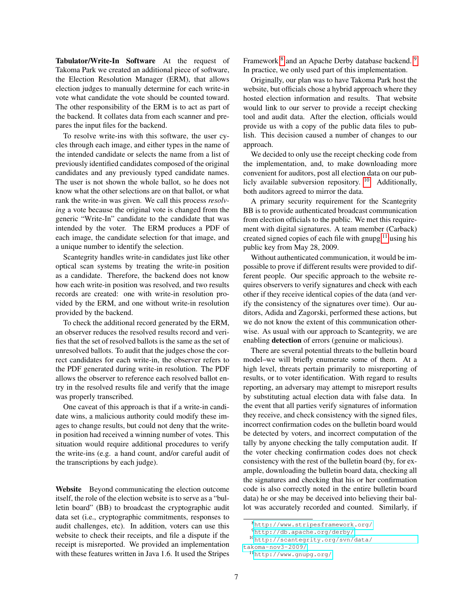Tabulator/Write-In Software At the request of Takoma Park we created an additional piece of software, the Election Resolution Manager (ERM), that allows election judges to manually determine for each write-in vote what candidate the vote should be counted toward. The other responsibility of the ERM is to act as part of the backend. It collates data from each scanner and prepares the input files for the backend.

To resolve write-ins with this software, the user cycles through each image, and either types in the name of the intended candidate or selects the name from a list of previously identified candidates composed of the original candidates and any previously typed candidate names. The user is not shown the whole ballot, so he does not know what the other selections are on that ballot, or what rank the write-in was given. We call this process *resolving* a vote because the original vote is changed from the generic "Write-In" candidate to the candidate that was intended by the voter. The ERM produces a PDF of each image, the candidate selection for that image, and a unique number to identify the selection.

Scantegrity handles write-in candidates just like other optical scan systems by treating the write-in position as a candidate. Therefore, the backend does not know how each write-in position was resolved, and two results records are created: one with write-in resolution provided by the ERM, and one without write-in resolution provided by the backend.

To check the additional record generated by the ERM, an observer reduces the resolved results record and verifies that the set of resolved ballots is the same as the set of unresolved ballots. To audit that the judges chose the correct candidates for each write-in, the observer refers to the PDF generated during write-in resolution. The PDF allows the observer to reference each resolved ballot entry in the resolved results file and verify that the image was properly transcribed.

One caveat of this approach is that if a write-in candidate wins, a malicious authority could modify these images to change results, but could not deny that the writein position had received a winning number of votes. This situation would require additional procedures to verify the write-ins (e.g. a hand count, and/or careful audit of the transcriptions by each judge).

Website Beyond communicating the election outcome itself, the role of the election website is to serve as a "bulletin board" (BB) to broadcast the cryptographic audit data set (i.e., cryptographic commitments, responses to audit challenges, etc). In addition, voters can use this website to check their receipts, and file a dispute if the receipt is misreported. We provided an implementation with these features written in Java 1.6. It used the Stripes

Framework <sup>[8](#page-6-0)</sup> and an Apache Derby database backend. <sup>[9](#page-6-1)</sup> In practice, we only used part of this implementation.

Originally, our plan was to have Takoma Park host the website, but officials chose a hybrid approach where they hosted election information and results. That website would link to our server to provide a receipt checking tool and audit data. After the election, officials would provide us with a copy of the public data files to publish. This decision caused a number of changes to our approach.

We decided to only use the receipt checking code from the implementation, and, to make downloading more convenient for auditors, post all election data on our publicly available subversion repository. [10](#page-6-2) Additionally, both auditors agreed to mirror the data.

A primary security requirement for the Scantegrity BB is to provide authenticated broadcast communication from election officials to the public. We met this requirement with digital signatures. A team member (Carback) created signed copies of each file with gnupg  $11$  using his public key from May 28, 2009.

Without authenticated communication, it would be impossible to prove if different results were provided to different people. Our specific approach to the website requires observers to verify signatures and check with each other if they receive identical copies of the data (and verify the consistency of the signatures over time). Our auditors, Adida and Zagorski, performed these actions, but we do not know the extent of this communication otherwise. As usual with our approach to Scantegrity, we are enabling detection of errors (genuine or malicious).

There are several potential threats to the bulletin board model–we will briefly enumerate some of them. At a high level, threats pertain primarily to misreporting of results, or to voter identification. With regard to results reporting, an adversary may attempt to misreport results by substituting actual election data with false data. In the event that all parties verify signatures of information they receive, and check consistency with the signed files, incorrect confirmation codes on the bulletin board would be detected by voters, and incorrect computation of the tally by anyone checking the tally computation audit. If the voter checking confirmation codes does not check consistency with the rest of the bulletin board (by, for example, downloading the bulletin board data, checking all the signatures and checking that his or her confirmation code is also correctly noted in the entire bulletin board data) he or she may be deceived into believing their ballot was accurately recorded and counted. Similarly, if

<span id="page-6-0"></span><sup>8</sup><http://www.stripesframework.org/>

<span id="page-6-2"></span><span id="page-6-1"></span><sup>9</sup><http://db.apache.org/derby/>

<sup>10</sup>[http://scantegrity.org/svn/data/](http://scantegrity.org/svn/data/takoma-nov3-2009/)

[takoma-nov3-2009/](http://scantegrity.org/svn/data/takoma-nov3-2009/)

<span id="page-6-3"></span><sup>11</sup><http://www.gnupg.org/>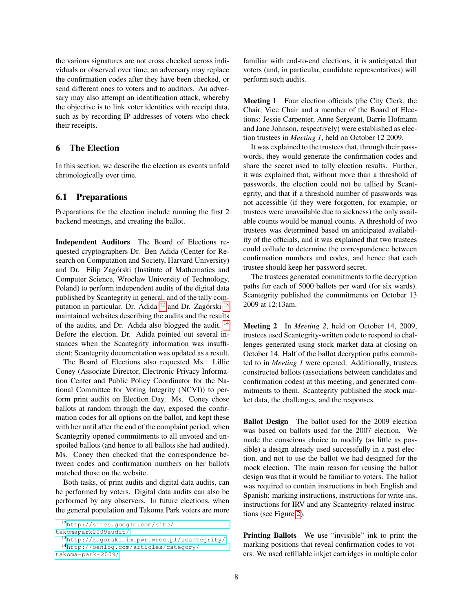the various signatures are not cross checked across individuals or observed over time, an adversary may replace the confirmation codes after they have been checked, or send different ones to voters and to auditors. An adversary may also attempt an identification attack, whereby the objective is to link voter identities with receipt data, such as by recording IP addresses of voters who check their receipts.

## <span id="page-7-0"></span>6 The Election

In this section, we describe the election as events unfold chronologically over time.

### 6.1 Preparations

Preparations for the election include running the first 2 backend meetings, and creating the ballot.

Independent Auditors The Board of Elections requested cryptographers Dr. Ben Adida (Center for Research on Computation and Society, Harvard University) and Dr. Filip Zagórski (Institute of Mathematics and Computer Science, Wroclaw University of Technology, Poland) to perform independent audits of the digital data published by Scantegrity in general, and of the tally com-putation in particular. Dr. Adida<sup>[12](#page-7-1)</sup> and Dr. Zagórski<sup>[13](#page-7-2)</sup> maintained websites describing the audits and the results of the audits, and Dr. Adida also blogged the audit. [14](#page-7-3) Before the election, Dr. Adida pointed out several instances when the Scantegrity information was insufficient; Scantegrity documentation was updated as a result.

The Board of Elections also requested Ms. Lillie Coney (Associate Director, Electronic Privacy Information Center and Public Policy Coordinator for the National Committee for Voting Integrity (NCVI)) to perform print audits on Election Day. Ms. Coney chose ballots at random through the day, exposed the confirmation codes for all options on the ballot, and kept these with her until after the end of the complaint period, when Scantegrity opened commitments to all unvoted and unspoiled ballots (and hence to all ballots she had audited). Ms. Coney then checked that the correspondence between codes and confirmation numbers on her ballots matched those on the website.

Both tasks, of print audits and digital data audits, can be performed by voters. Digital data audits can also be performed by any observers. In future elections, when the general population and Takoma Park voters are more

[takomapark2009audit/](http://sites.google.com/site/takomapark2009audit/)

[takoma-park-2009/](http://benlog.com/articles/category/takoma-park-2009/)

familiar with end-to-end elections, it is anticipated that voters (and, in particular, candidate representatives) will perform such audits.

Meeting 1 Four election officials (the City Clerk, the Chair, Vice Chair and a member of the Board of Elections: Jessie Carpenter, Anne Sergeant, Barrie Hofmann and Jane Johnson, respectively) were established as election trustees in *Meeting 1*, held on October 12 2009.

It was explained to the trustees that, through their passwords, they would generate the confirmation codes and share the secret used to tally election results. Further, it was explained that, without more than a threshold of passwords, the election could not be tallied by Scantegrity, and that if a threshold number of passwords was not accessible (if they were forgotten, for example, or trustees were unavailable due to sickness) the only available counts would be manual counts. A threshold of two trustees was determined based on anticipated availability of the officials, and it was explained that two trustees could collude to determine the correspondence between confirmation numbers and codes, and hence that each trustee should keep her password secret.

The trustees generated commitments to the decryption paths for each of 5000 ballots per ward (for six wards). Scantegrity published the commitments on October 13 2009 at 12:13am.

Meeting 2 In *Meeting 2*, held on October 14, 2009, trustees used Scantegrity-written code to respond to challenges generated using stock market data at closing on October 14. Half of the ballot decryption paths committed to in *Meeting 1* were opened. Additionally, trustees constructed ballots (associations between candidates and confirmation codes) at this meeting, and generated commitments to them. Scantegrity published the stock market data, the challenges, and the responses.

Ballot Design The ballot used for the 2009 election was based on ballots used for the 2007 election. We made the conscious choice to modify (as little as possible) a design already used successfully in a past election, and not to use the ballot we had designed for the mock election. The main reason for reusing the ballot design was that it would be familiar to voters. The ballot was required to contain instructions in both English and Spanish: marking instructions, instructions for write-ins, instructions for IRV and any Scantegrity-related instructions (see Figure [2\)](#page-8-0).

Printing Ballots We use "invisible" ink to print the marking positions that reveal confirmation codes to voters. We used refillable inkjet cartridges in multiple color

<span id="page-7-1"></span><sup>12</sup>[http://sites.google.com/site/](http://sites.google.com/site/takomapark2009audit/)

<span id="page-7-3"></span><span id="page-7-2"></span><sup>13</sup><http://zagorski.im.pwr.wroc.pl/scantegrity/> <sup>14</sup>[http://benlog.com/articles/category/](http://benlog.com/articles/category/takoma-park-2009/)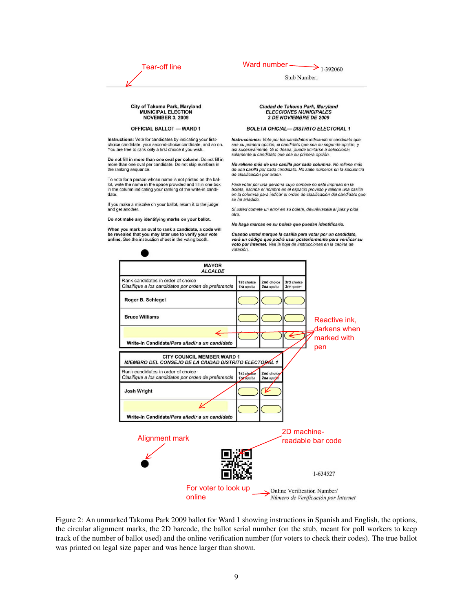| Tear-off line | Ward number |  |  |
|---------------|-------------|--|--|
|               |             |  |  |
|               |             |  |  |

| Ward number - | $\rightarrow$ 1-392060 |
|---------------|------------------------|
| Stub Number:  |                        |

#### City of Takoma Park, Maryland **MUNICIPAL ELECTION NOVEMBER 3, 2009**

#### **OFFICIAL BALLOT - WARD 1**

Instructions: Vote for candidates by indicating your firstchoice candidate, your second-choice candidate, and so on.<br>You are free to rank only a first choice if you wish.

Do not fill in more than one oval per column. Do not fill in more than one oval per candidate. Do not skip numbers in the ranking sequence.

To vote for a person whose name is not printed on the ballot, write the name in the space provided and fill in one box in the column indicating your ranking of the write-in candidate

If you make a mistake on your ballot, return it to the judge and get another.

Do not make any identifying marks on your ballot.

When you mark an oval to rank a candidate, a code will be revealed that you may later use to verify your vote online. See the instruction sheet in the voting booth.

#### Ciudad de Takoma Park, Maryland **ELECCIONES MUNICIPALES** 3 DE NOVIEMBRE DE 2009

#### **BOLETA OFICIAL- DISTRITO ELECTORAL 1**

Instrucciones: Vote por los candidatos indicando el candidato que sea su primera opción, el candidato que sea su segunda opción, y<br>así sucesivamente. Si lo desea, puede limitarse a seleccionar solamente al candidato que sea su primera opción.

No rellene más de una casilla por cada columna. No rellene más<br>de una casilla por cada candidato. No salte números en la secuencia de clasificación por orden.

Para votar por una persona cuyo nombre no esté impreso en la boleta, escriba el nombre en el espacio provisto y rellene una casilla en la columna para indicar el orden de clasificación del candidato que se ha añadido

Si usted comete un error en su boleta, devuélvasela al juez y pida otra.

No haga marcas en su boleta que puedan identificarlo.

Cuando usted marque la casilla para votar por un candidato, verá un código que podrá usar posteriormente para verificar su voto por Internet. Vea la hoja de instrucciones en la cabina de votación.



<span id="page-8-0"></span>Figure 2: An unmarked Takoma Park 2009 ballot for Ward 1 showing instructions in Spanish and English, the options, the circular alignment marks, the 2D barcode, the ballot serial number (on the stub, meant for poll workers to keep track of the number of ballot used) and the online verification number (for voters to check their codes). The true ballot was printed on legal size paper and was hence larger than shown.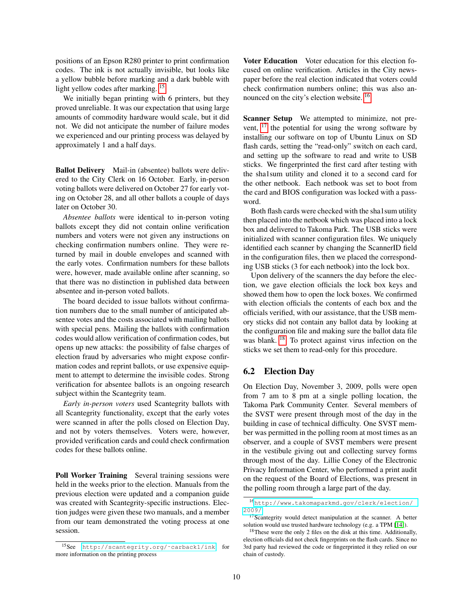positions of an Epson R280 printer to print confirmation codes. The ink is not actually invisible, but looks like a yellow bubble before marking and a dark bubble with light yellow codes after marking. <sup>[15](#page-9-0)</sup>

We initially began printing with 6 printers, but they proved unreliable. It was our expectation that using large amounts of commodity hardware would scale, but it did not. We did not anticipate the number of failure modes we experienced and our printing process was delayed by approximately 1 and a half days.

Ballot Delivery Mail-in (absentee) ballots were delivered to the City Clerk on 16 October. Early, in-person voting ballots were delivered on October 27 for early voting on October 28, and all other ballots a couple of days later on October 30.

*Absentee ballots* were identical to in-person voting ballots except they did not contain online verification numbers and voters were not given any instructions on checking confirmation numbers online. They were returned by mail in double envelopes and scanned with the early votes. Confirmation numbers for these ballots were, however, made available online after scanning, so that there was no distinction in published data between absentee and in-person voted ballots.

The board decided to issue ballots without confirmation numbers due to the small number of anticipated absentee votes and the costs associated with mailing ballots with special pens. Mailing the ballots with confirmation codes would allow verification of confirmation codes, but opens up new attacks: the possibility of false charges of election fraud by adversaries who might expose confirmation codes and reprint ballots, or use expensive equipment to attempt to determine the invisible codes. Strong verification for absentee ballots is an ongoing research subject within the Scantegrity team.

*Early in-person voters* used Scantegrity ballots with all Scantegrity functionality, except that the early votes were scanned in after the polls closed on Election Day, and not by voters themselves. Voters were, however, provided verification cards and could check confirmation codes for these ballots online.

Poll Worker Training Several training sessions were held in the weeks prior to the election. Manuals from the previous election were updated and a companion guide was created with Scantegrity-specific instructions. Election judges were given these two manuals, and a member from our team demonstrated the voting process at one session.

Voter Education Voter education for this election focused on online verification. Articles in the City newspaper before the real election indicated that voters could check confirmation numbers online; this was also announced on the city's election website. [16](#page-9-1)

Scanner Setup We attempted to minimize, not prevent, [17](#page-9-2) the potential for using the wrong software by installing our software on top of Ubuntu Linux on SD flash cards, setting the "read-only" switch on each card, and setting up the software to read and write to USB sticks. We fingerprinted the first card after testing with the sha1sum utility and cloned it to a second card for the other netbook. Each netbook was set to boot from the card and BIOS configuration was locked with a password.

Both flash cards were checked with the sha1sum utility then placed into the netbook which was placed into a lock box and delivered to Takoma Park. The USB sticks were initialized with scanner configuration files. We uniquely identified each scanner by changing the ScannerID field in the configuration files, then we placed the corresponding USB sticks (3 for each netbook) into the lock box.

Upon delivery of the scanners the day before the election, we gave election officials the lock box keys and showed them how to open the lock boxes. We confirmed with election officials the contents of each box and the officials verified, with our assistance, that the USB memory sticks did not contain any ballot data by looking at the configuration file and making sure the ballot data file was blank. <sup>[18](#page-9-3)</sup> To protect against virus infection on the sticks we set them to read-only for this procedure.

### 6.2 Election Day

On Election Day, November 3, 2009, polls were open from 7 am to 8 pm at a single polling location, the Takoma Park Community Center. Several members of the SVST were present through most of the day in the building in case of technical difficulty. One SVST member was permitted in the polling room at most times as an observer, and a couple of SVST members were present in the vestibule giving out and collecting survey forms through most of the day. Lillie Coney of the Electronic Privacy Information Center, who performed a print audit on the request of the Board of Elections, was present in the polling room through a large part of the day.

<span id="page-9-0"></span><sup>15</sup>See [http://scantegrity.org/˜carback1/ink](http://scantegrity.org/~carback1/ink) for more information on the printing process

<span id="page-9-1"></span><sup>16</sup>[http://www.takomaparkmd.gov/clerk/election/](http://www.takomaparkmd.gov/clerk/election/2009/) [2009/](http://www.takomaparkmd.gov/clerk/election/2009/)

<span id="page-9-2"></span><sup>17</sup>Scantegrity would detect manipulation at the scanner. A better solution would use trusted hardware technology (e.g. a TPM [\[14\]](#page-15-26)).

<span id="page-9-3"></span><sup>&</sup>lt;sup>18</sup>These were the only 2 files on the disk at this time. Additionally, election officials did not check fingerprints on the flash cards. Since no 3rd party had reviewed the code or fingerprinted it they relied on our chain of custody.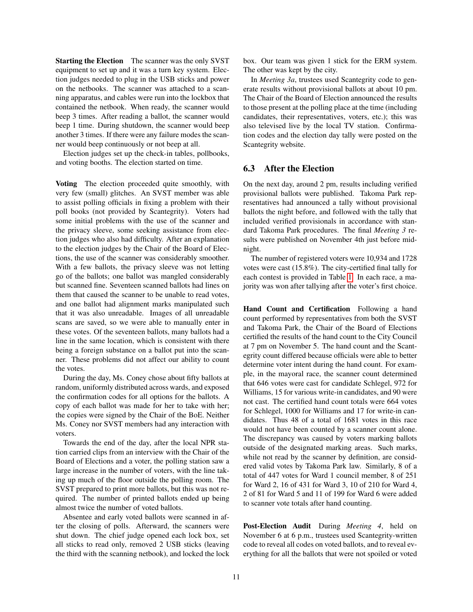Starting the Election The scanner was the only SVST equipment to set up and it was a turn key system. Election judges needed to plug in the USB sticks and power on the netbooks. The scanner was attached to a scanning apparatus, and cables were run into the lockbox that contained the netbook. When ready, the scanner would beep 3 times. After reading a ballot, the scanner would beep 1 time. During shutdown, the scanner would beep another 3 times. If there were any failure modes the scanner would beep continuously or not beep at all.

Election judges set up the check-in tables, pollbooks, and voting booths. The election started on time.

Voting The election proceeded quite smoothly, with very few (small) glitches. An SVST member was able to assist polling officials in fixing a problem with their poll books (not provided by Scantegrity). Voters had some initial problems with the use of the scanner and the privacy sleeve, some seeking assistance from election judges who also had difficulty. After an explanation to the election judges by the Chair of the Board of Elections, the use of the scanner was considerably smoother. With a few ballots, the privacy sleeve was not letting go of the ballots; one ballot was mangled considerably but scanned fine. Seventeen scanned ballots had lines on them that caused the scanner to be unable to read votes, and one ballot had alignment marks manipulated such that it was also unreadable. Images of all unreadable scans are saved, so we were able to manually enter in these votes. Of the seventeen ballots, many ballots had a line in the same location, which is consistent with there being a foreign substance on a ballot put into the scanner. These problems did not affect our ability to count the votes.

During the day, Ms. Coney chose about fifty ballots at random, uniformly distributed across wards, and exposed the confirmation codes for all options for the ballots. A copy of each ballot was made for her to take with her; the copies were signed by the Chair of the BoE. Neither Ms. Coney nor SVST members had any interaction with voters.

Towards the end of the day, after the local NPR station carried clips from an interview with the Chair of the Board of Elections and a voter, the polling station saw a large increase in the number of voters, with the line taking up much of the floor outside the polling room. The SVST prepared to print more ballots, but this was not required. The number of printed ballots ended up being almost twice the number of voted ballots.

Absentee and early voted ballots were scanned in after the closing of polls. Afterward, the scanners were shut down. The chief judge opened each lock box, set all sticks to read only, removed 2 USB sticks (leaving the third with the scanning netbook), and locked the lock box. Our team was given 1 stick for the ERM system. The other was kept by the city.

In *Meeting 3a*, trustees used Scantegrity code to generate results without provisional ballots at about 10 pm. The Chair of the Board of Election announced the results to those present at the polling place at the time (including candidates, their representatives, voters, etc.); this was also televised live by the local TV station. Confirmation codes and the election day tally were posted on the Scantegrity website.

### 6.3 After the Election

On the next day, around 2 pm, results including verified provisional ballots were published. Takoma Park representatives had announced a tally without provisional ballots the night before, and followed with the tally that included verified provisionals in accordance with standard Takoma Park procedures. The final *Meeting 3* results were published on November 4th just before midnight.

The number of registered voters were 10,934 and 1728 votes were cast (15.8%). The city-certified final tally for each contest is provided in Table [1.](#page-11-1) In each race, a majority was won after tallying after the voter's first choice.

Hand Count and Certification Following a hand count performed by representatives from both the SVST and Takoma Park, the Chair of the Board of Elections certified the results of the hand count to the City Council at 7 pm on November 5. The hand count and the Scantegrity count differed because officials were able to better determine voter intent during the hand count. For example, in the mayoral race, the scanner count determined that 646 votes were cast for candidate Schlegel, 972 for Williams, 15 for various write-in candidates, and 90 were not cast. The certified hand count totals were 664 votes for Schlegel, 1000 for Williams and 17 for write-in candidates. Thus 48 of a total of 1681 votes in this race would not have been counted by a scanner count alone. The discrepancy was caused by voters marking ballots outside of the designated marking areas. Such marks, while not read by the scanner by definition, are considered valid votes by Takoma Park law. Similarly, 8 of a total of 447 votes for Ward 1 council member, 8 of 251 for Ward 2, 16 of 431 for Ward 3, 10 of 210 for Ward 4, 2 of 81 for Ward 5 and 11 of 199 for Ward 6 were added to scanner vote totals after hand counting.

Post-Election Audit During *Meeting 4*, held on November 6 at 6 p.m., trustees used Scantegrity-written code to reveal all codes on voted ballots, and to reveal everything for all the ballots that were not spoiled or voted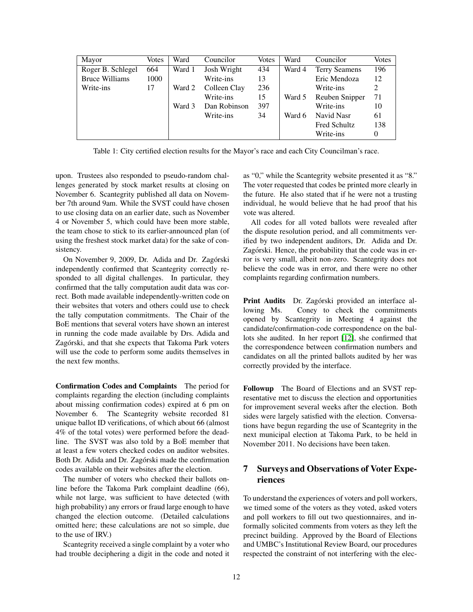| Mayor                 | Votes | Ward   | Councilor    | <b>Votes</b> | Ward   | Councilor            | Votes |
|-----------------------|-------|--------|--------------|--------------|--------|----------------------|-------|
| Roger B. Schlegel     | 664   | Ward 1 | Josh Wright  | 434          | Ward 4 | <b>Terry Seamens</b> | 196   |
| <b>Bruce Williams</b> | 1000  |        | Write-ins    | 13           |        | Eric Mendoza         | 12    |
| Write-ins             | 17    | Ward 2 | Colleen Clay | 236          |        | Write-ins            | 2     |
|                       |       |        | Write-ins    | 15           | Ward 5 | Reuben Snipper       | 71    |
|                       |       | Ward 3 | Dan Robinson | 397          |        | Write-ins            | 10    |
|                       |       |        | Write-ins    | 34           | Ward 6 | Navid Nasr           | 61    |
|                       |       |        |              |              |        | <b>Fred Schultz</b>  | 138   |
|                       |       |        |              |              |        | Write-ins            | 0     |

<span id="page-11-1"></span>Table 1: City certified election results for the Mayor's race and each City Councilman's race.

upon. Trustees also responded to pseudo-random challenges generated by stock market results at closing on November 6. Scantegrity published all data on November 7th around 9am. While the SVST could have chosen to use closing data on an earlier date, such as November 4 or November 5, which could have been more stable, the team chose to stick to its earlier-announced plan (of using the freshest stock market data) for the sake of consistency.

On November 9, 2009, Dr. Adida and Dr. Zagórski independently confirmed that Scantegrity correctly responded to all digital challenges. In particular, they confirmed that the tally computation audit data was correct. Both made available independently-written code on their websites that voters and others could use to check the tally computation commitments. The Chair of the BoE mentions that several voters have shown an interest in running the code made available by Drs. Adida and Zagórski, and that she expects that Takoma Park voters will use the code to perform some audits themselves in the next few months.

Confirmation Codes and Complaints The period for complaints regarding the election (including complaints about missing confirmation codes) expired at 6 pm on November 6. The Scantegrity website recorded 81 unique ballot ID verifications, of which about 66 (almost 4% of the total votes) were performed before the deadline. The SVST was also told by a BoE member that at least a few voters checked codes on auditor websites. Both Dr. Adida and Dr. Zagórski made the confirmation codes available on their websites after the election.

The number of voters who checked their ballots online before the Takoma Park complaint deadline (66), while not large, was sufficient to have detected (with high probability) any errors or fraud large enough to have changed the election outcome. (Detailed calculations omitted here; these calculations are not so simple, due to the use of IRV.)

Scantegrity received a single complaint by a voter who had trouble deciphering a digit in the code and noted it as "0," while the Scantegrity website presented it as "8." The voter requested that codes be printed more clearly in the future. He also stated that if he were not a trusting individual, he would believe that he had proof that his vote was altered.

All codes for all voted ballots were revealed after the dispute resolution period, and all commitments verified by two independent auditors, Dr. Adida and Dr. Zagórski. Hence, the probability that the code was in error is very small, albeit non-zero. Scantegrity does not believe the code was in error, and there were no other complaints regarding confirmation numbers.

Print Audits Dr. Zagórski provided an interface allowing Ms. Coney to check the commitments opened by Scantegrity in Meeting 4 against the candidate/confirmation-code correspondence on the ballots she audited. In her report [\[12\]](#page-15-27), she confirmed that the correspondence between confirmation numbers and candidates on all the printed ballots audited by her was correctly provided by the interface.

Followup The Board of Elections and an SVST representative met to discuss the election and opportunities for improvement several weeks after the election. Both sides were largely satisfied with the election. Conversations have begun regarding the use of Scantegrity in the next municipal election at Takoma Park, to be held in November 2011. No decisions have been taken.

# <span id="page-11-0"></span>7 Surveys and Observations of Voter Experiences

To understand the experiences of voters and poll workers, we timed some of the voters as they voted, asked voters and poll workers to fill out two questionnaires, and informally solicited comments from voters as they left the precinct building. Approved by the Board of Elections and UMBC's Institutional Review Board, our procedures respected the constraint of not interfering with the elec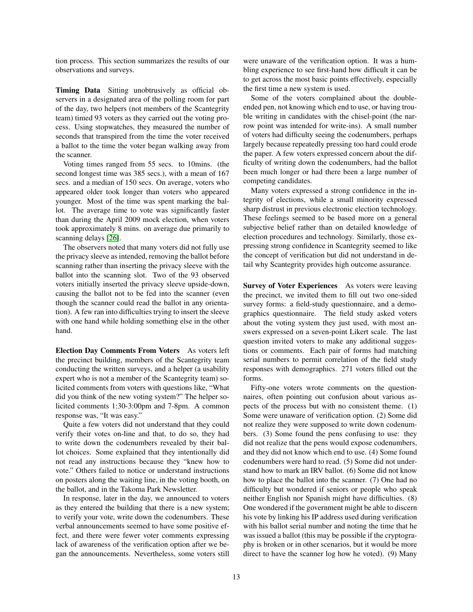tion process. This section summarizes the results of our observations and surveys.

Timing Data Sitting unobtrusively as official observers in a designated area of the polling room for part of the day, two helpers (not members of the Scantegrity team) timed 93 voters as they carried out the voting process. Using stopwatches, they measured the number of seconds that transpired from the time the voter received a ballot to the time the voter began walking away from the scanner.

Voting times ranged from 55 secs. to 10mins. (the second longest time was 385 secs.), with a mean of 167 secs. and a median of 150 secs. On average, voters who appeared older took longer than voters who appeared younger. Most of the time was spent marking the ballot. The average time to vote was significantly faster than during the April 2009 mock election, when voters took approximately 8 mins. on average due primarily to scanning delays [\[26\]](#page-15-18).

The observers noted that many voters did not fully use the privacy sleeve as intended, removing the ballot before scanning rather than inserting the privacy sleeve with the ballot into the scanning slot. Two of the 93 observed voters initially inserted the privacy sleeve upside-down, causing the ballot not to be fed into the scanner (even though the scanner could read the ballot in any orientation). A few ran into difficulties trying to insert the sleeve with one hand while holding something else in the other hand.

Election Day Comments From Voters As voters left the precinct building, members of the Scantegrity team conducting the written surveys, and a helper (a usability expert who is not a member of the Scantegrity team) solicited comments from voters with questions like, "What did you think of the new voting system?" The helper solicited comments 1:30-3:00pm and 7-8pm. A common response was, "It was easy."

Quite a few voters did not understand that they could verify their votes on-line and that, to do so, they had to write down the codenumbers revealed by their ballot choices. Some explained that they intentionally did not read any instructions because they "knew how to vote." Others failed to notice or understand instructions on posters along the waiting line, in the voting booth, on the ballot, and in the Takoma Park Newsletter.

In response, later in the day, we announced to voters as they entered the building that there is a new system; to verify your vote, write down the codenumbers. These verbal announcements seemed to have some positive effect, and there were fewer voter comments expressing lack of awareness of the verification option after we began the announcements. Nevertheless, some voters still were unaware of the verification option. It was a humbling experience to see first-hand how difficult it can be to get across the most basic points effectively, especially the first time a new system is used.

Some of the voters complained about the doubleended pen, not knowing which end to use, or having trouble writing in candidates with the chisel-point (the narrow point was intended for write-ins). A small number of voters had difficulty seeing the codenumbers, perhaps largely because repeatedly pressing too hard could erode the paper. A few voters expressed concern about the difficulty of writing down the codenumbers, had the ballot been much longer or had there been a large number of competing candidates.

Many voters expressed a strong confidence in the integrity of elections, while a small minority expressed sharp distrust in previous electronic election technology. These feelings seemed to be based more on a general subjective belief rather than on detailed knowledge of election procedures and technology. Similarly, those expressing strong confidence in Scantegrity seemed to like the concept of verification but did not understand in detail why Scantegrity provides high outcome assurance.

Survey of Voter Experiences As voters were leaving the precinct, we invited them to fill out two one-sided survey forms: a field-study questionnaire, and a demographics questionnaire. The field study asked voters about the voting system they just used, with most answers expressed on a seven-point Likert scale. The last question invited voters to make any additional suggestions or comments. Each pair of forms had matching serial numbers to permit correlation of the field study responses with demographics. 271 voters filled out the forms.

Fifty-one voters wrote comments on the questionnaires, often pointing out confusion about various aspects of the process but with no consistent theme. (1) Some were unaware of verification option. (2) Some did not realize they were supposed to write down codenumbers. (3) Some found the pens confusing to use: they did not realize that the pens would expose codenumbers, and they did not know which end to use. (4) Some found codenumbers were hard to read. (5) Some did not understand how to mark an IRV ballot. (6) Some did not know how to place the ballot into the scanner. (7) One had no difficulty but wondered if seniors or people who speak neither English nor Spanish might have difficulties. (8) One wondered if the government might be able to discern his vote by linking his IP address used during verification with his ballot serial number and noting the time that he was issued a ballot (this may be possible if the cryptography is broken or in other scenarios, but it would be more direct to have the scanner log how he voted). (9) Many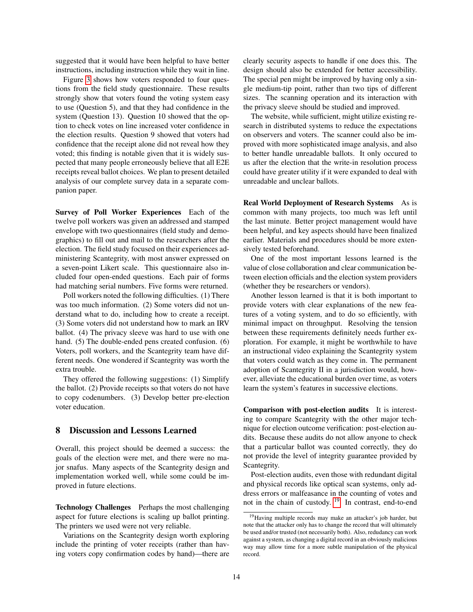suggested that it would have been helpful to have better instructions, including instruction while they wait in line.

Figure [3](#page-14-1) shows how voters responded to four questions from the field study questionnaire. These results strongly show that voters found the voting system easy to use (Question 5), and that they had confidence in the system (Question 13). Question 10 showed that the option to check votes on line increased voter confidence in the election results. Question 9 showed that voters had confidence that the receipt alone did not reveal how they voted; this finding is notable given that it is widely suspected that many people erroneously believe that all E2E receipts reveal ballot choices. We plan to present detailed analysis of our complete survey data in a separate companion paper.

Survey of Poll Worker Experiences Each of the twelve poll workers was given an addressed and stamped envelope with two questionnaires (field study and demographics) to fill out and mail to the researchers after the election. The field study focused on their experiences administering Scantegrity, with most answer expressed on a seven-point Likert scale. This questionnaire also included four open-ended questions. Each pair of forms had matching serial numbers. Five forms were returned.

Poll workers noted the following difficulties. (1) There was too much information. (2) Some voters did not understand what to do, including how to create a receipt. (3) Some voters did not understand how to mark an IRV ballot. (4) The privacy sleeve was hard to use with one hand. (5) The double-ended pens created confusion. (6) Voters, poll workers, and the Scantegrity team have different needs. One wondered if Scantegrity was worth the extra trouble.

They offered the following suggestions: (1) Simplify the ballot. (2) Provide receipts so that voters do not have to copy codenumbers. (3) Develop better pre-election voter education.

### <span id="page-13-0"></span>8 Discussion and Lessons Learned

Overall, this project should be deemed a success: the goals of the election were met, and there were no major snafus. Many aspects of the Scantegrity design and implementation worked well, while some could be improved in future elections.

Technology Challenges Perhaps the most challenging aspect for future elections is scaling up ballot printing. The printers we used were not very reliable.

Variations on the Scantegrity design worth exploring include the printing of voter receipts (rather than having voters copy confirmation codes by hand)—there are clearly security aspects to handle if one does this. The design should also be extended for better accessibility. The special pen might be improved by having only a single medium-tip point, rather than two tips of different sizes. The scanning operation and its interaction with the privacy sleeve should be studied and improved.

The website, while sufficient, might utilize existing research in distributed systems to reduce the expectations on observers and voters. The scanner could also be improved with more sophisticated image analysis, and also to better handle unreadable ballots. It only occured to us after the election that the write-in resolution process could have greater utility if it were expanded to deal with unreadable and unclear ballots.

Real World Deployment of Research Systems As is common with many projects, too much was left until the last minute. Better project management would have been helpful, and key aspects should have been finalized earlier. Materials and procedures should be more extensively tested beforehand.

One of the most important lessons learned is the value of close collaboration and clear communication between election officials and the election system providers (whether they be researchers or vendors).

Another lesson learned is that it is both important to provide voters with clear explanations of the new features of a voting system, and to do so efficiently, with minimal impact on throughput. Resolving the tension between these requirements definitely needs further exploration. For example, it might be worthwhile to have an instructional video explaining the Scantegrity system that voters could watch as they come in. The permanent adoption of Scantegrity II in a jurisdiction would, however, alleviate the educational burden over time, as voters learn the system's features in successive elections.

Comparison with post-election audits It is interesting to compare Scantegrity with the other major technique for election outcome verification: post-election audits. Because these audits do not allow anyone to check that a particular ballot was counted correctly, they do not provide the level of integrity guarantee provided by Scantegrity.

Post-election audits, even those with redundant digital and physical records like optical scan systems, only address errors or malfeasance in the counting of votes and not in the chain of custody.<sup>[19](#page-13-1)</sup> In contrast, end-to-end

<span id="page-13-1"></span><sup>19</sup>Having multiple records may make an attacker's job harder, but note that the attacker only has to change the record that will ultimately be used and/or trusted (not necessarily both). Also, redudancy can work against a system, as changing a digital record in an obviously malicious way may allow time for a more subtle manipulation of the physical record.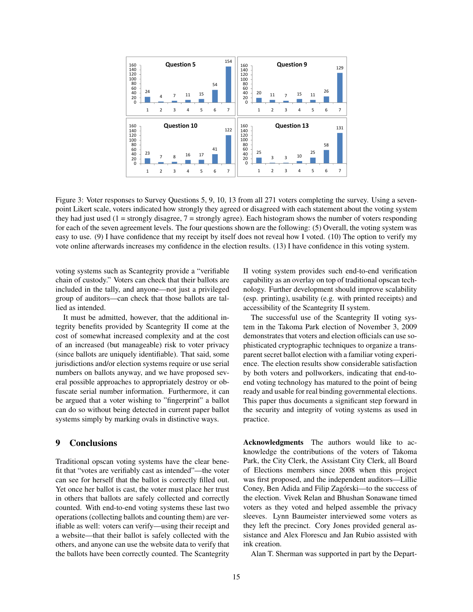

<span id="page-14-1"></span>Figure 3: Voter responses to Survey Questions 5, 9, 10, 13 from all 271 voters completing the survey. Using a sevenpoint Likert scale, voters indicated how strongly they agreed or disagreed with each statement about the voting system they had just used (1 = strongly disagree,  $7$  = strongly agree). Each histogram shows the number of voters responding for each of the seven agreement levels. The four questions shown are the following: (5) Overall, the voting system was easy to use. (9) I have confidence that my receipt by itself does not reveal how I voted. (10) The option to verify my vote online afterwards increases my confidence in the election results. (13) I have confidence in this voting system.

voting systems such as Scantegrity provide a "verifiable chain of custody." Voters can check that their ballots are included in the tally, and anyone—not just a privileged group of auditors—can check that those ballots are tallied as intended.

It must be admitted, however, that the additional integrity benefits provided by Scantegrity II come at the cost of somewhat increased complexity and at the cost of an increased (but manageable) risk to voter privacy (since ballots are uniquely identifiable). That said, some jurisdictions and/or election systems require or use serial numbers on ballots anyway, and we have proposed several possible approaches to appropriately destroy or obfuscate serial number information. Furthermore, it can be argued that a voter wishing to "fingerprint" a ballot can do so without being detected in current paper ballot systems simply by marking ovals in distinctive ways.

### <span id="page-14-0"></span>9 Conclusions

Traditional opscan voting systems have the clear benefit that "votes are verifiably cast as intended"—the voter can see for herself that the ballot is correctly filled out. Yet once her ballot is cast, the voter must place her trust in others that ballots are safely collected and correctly counted. With end-to-end voting systems these last two operations (collecting ballots and counting them) are verifiable as well: voters can verify—using their receipt and a website—that their ballot is safely collected with the others, and anyone can use the website data to verify that the ballots have been correctly counted. The Scantegrity II voting system provides such end-to-end verification capability as an overlay on top of traditional opscan technology. Further development should improve scalability (esp. printing), usability (e.g. with printed receipts) and accessibility of the Scantegrity II system.

The successful use of the Scantegrity II voting system in the Takoma Park election of November 3, 2009 demonstrates that voters and election officials can use sophisticated cryptographic techniques to organize a transparent secret ballot election with a familiar voting experience. The election results show considerable satisfaction by both voters and pollworkers, indicating that end-toend voting technology has matured to the point of being ready and usable for real binding governmental elections. This paper thus documents a significant step forward in the security and integrity of voting systems as used in practice.

Acknowledgments The authors would like to acknowledge the contributions of the voters of Takoma Park, the City Clerk, the Assistant City Clerk, all Board of Elections members since 2008 when this project was first proposed, and the independent auditors—Lillie Coney, Ben Adida and Filip Zagórski—to the success of the election. Vivek Relan and Bhushan Sonawane timed voters as they voted and helped assemble the privacy sleeves. Lynn Baumeister interviewed some voters as they left the precinct. Cory Jones provided general assistance and Alex Florescu and Jan Rubio assisted with ink creation.

Alan T. Sherman was supported in part by the Depart-